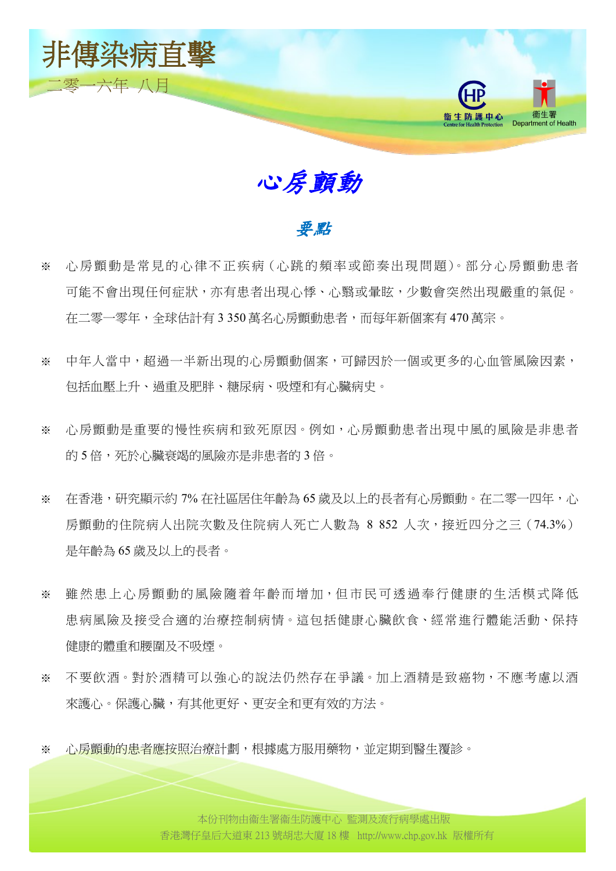

心房顫動

### 要點

- ※ 心房顫動是常見的心律不正疾病 (心跳的頻率或節奏出現問題)。部分心房顫動患者 可能不會出現任何症狀,亦有患者出現心悸、心翳或暈眩,少數會突然出現嚴重的氣促。 在二零一零年,全球估計有 3 350 萬名心房顫動患者,而每年新個案有 470 萬宗。
- ※ 中年人當中,超過一半新出現的心房顫動個案,可歸因於一個或更多的心血管風險因素, 包括血壓上升、過重及肥胖、糖尿病、吸煙和有心臟病史。
- ※ 心房顫動是重要的慢性疾病和致死原因。例如,心房顫動患者出現中風的風險是非患者 的 5 倍,死於心臟衰竭的風險亦是非患者的 3 倍。
- ※ 在香港,研究顯示約 7% 在社區居住年齡為 65 歳及以上的長者有心房顫動。在二零一四年,心 房顫動的住院病人出院次數及住院病人死亡人數為 8 852 人次,接近四分之三 (74.3%) 是年齡為 65 歲及以上的長者。
- ※ 雖然患上心房顫動的風險隨着年齡而增加,但市民可透過奉行健康的生活模式降低 患病風險及接受合適的治療控制病情。這包括健康心臟飲食、經常進行體能活動、保持 健康的體重和腰圍及不吸煙。
- ※ 不要飲酒。對於酒精可以強心的說法仍然存在爭議。加上酒精是致癌物,不應考慮以酒 來護心。保護心臟,有其他更好、更安全和更有效的方法。
- ※ 心房顫動的患者應按照治療計劃,根據處方服用藥物,並定期到醫生覆診。<br>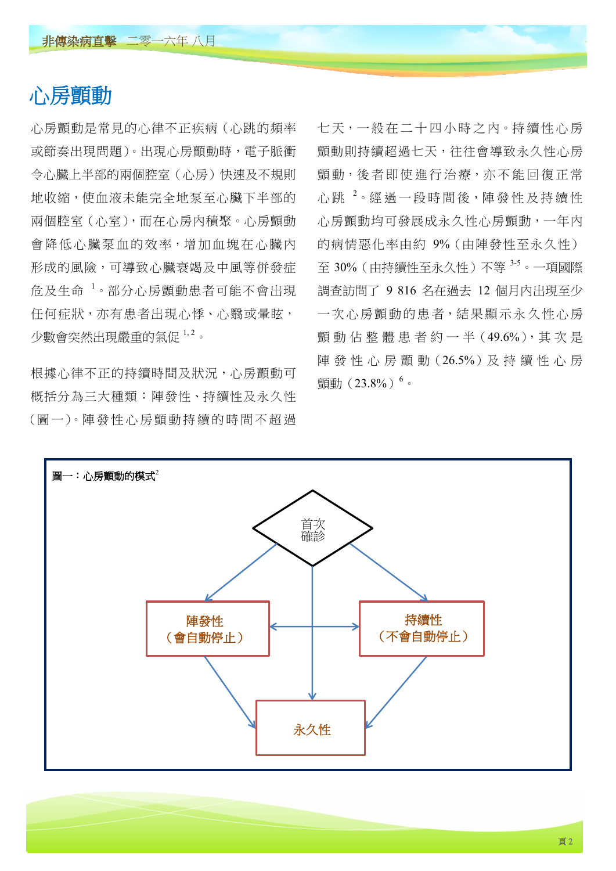# 心房顫動

心房顫動是常見的心律不正疾病(心跳的頻率 或節奏出現問題)。出現心房顫動時,電子脈衝 令心臟上半部的兩個腔室(心房)快速及不規則 地收縮,使血液未能完全地泵至心臟下半部的 兩個腔室(心室),而在心房內積聚。心房顫動 會降低心臟泵血的效率,增加血塊在心臟內 形成的風險,可導致心臟衰竭及中風等併發症 危及生命 <sup>1</sup>。部分心房顫動患者可能不會出現 任何症狀,亦有患者出現心悸、心翳或暈眩, 少數會突然出現嚴重的氣促 1,2。

根據心律不正的持續時間及狀況,心房顫動可 概括分為三大種類:陣發性、持續性及永久性 (圖 一)。陣 發 性 心 房 顫 動 持 續 的 時 間 不 超 過 七天,一般在二十四小時之内。持續性心房 顫動則持續超過七天,往往會導致永久性心房 顫動,後者即使進行治療,亦不能回復正常 心跳<sup>2。</sup>經過一段時間後,陣發性及持續性 心房顫動均可發展成永久性心房顫動,一年內 的病情惡化率由約 9%(由陣發性至永久性) 至 30%(由持續性至永久性)不等 <sup>3</sup>-<sup>5</sup>。一項國際 調查訪問了 9 816 名在過去 12 個月內出現至少 一次心房顫動的患者,結果顯示永久性心房 颤動佔整體患者約一半(49.6%),其次是 陣 發 性 心 房 顫 動 (26.5%) 及 持 續 性 心 房 顫動(23.8%)<sup>6</sup>。

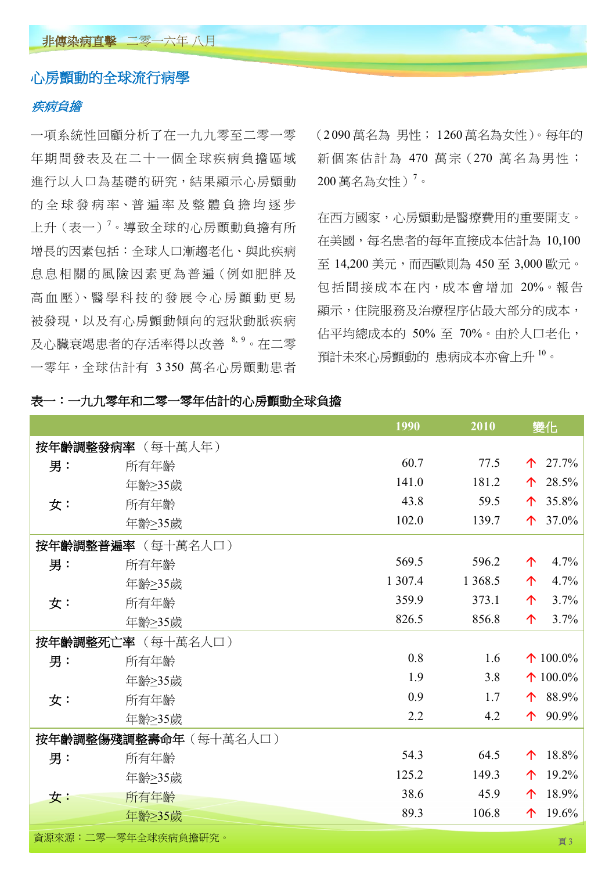#### 心房顫動的全球流行病學

#### 疾病負擔

一項系統性回顧分析了在一九九零至二零一零 年期間發表及在 二十 一個全球疾病負 擔區 域 進行以人口為基礎的研究,結果顯示心房顫動 的全球發病率、普遍率及整體負擔均逐步 上升(表一)<sup>7</sup>。導致全球的心房顫動負擔有所 增長的因素包括:全球人口漸趨老化、與此疾病 息息相關的風險因素更為普遍(例如肥胖及 高血壓)、醫學科技的發展令心房顫動更易 被發現,以及有心房顫動傾向的冠狀動脈疾病 及心臟衰竭患者的存活率得以改善 8, 9。在二零 一零年,全球估計有 3 350 萬名心房顫動患者 (2 090 萬名為 男性; 1260 萬名為女性)。每年的 新個案估計為 470 萬宗 (270 萬名為男性;  $200$  萬名為女性)<sup>7</sup>。

在西方國家,心房顫動是醫療費用的重要開支。 在美國,每名患者的每年直接成本估計為 10,100 至 14,200 美元,而西歐則為 450 至 3,000 歐元。 包括間接成本在內,成本會增加 20%。報告 顯示,住院服務及治療程序佔最大部分的成本, 佔平均總成本的 50% 至 70%。由於人口老化, 預計未來心房顫動的 患病成本亦會上升 <sup>10</sup>。

| 表一:一九九零年和二零一零年估計的心房顫動全球負擔 |  |
|---------------------------|--|
|                           |  |

|    |                      | 1990    | 2010     | 變化                  |
|----|----------------------|---------|----------|---------------------|
|    | 按年齡調整發病率 (每十萬人年)     |         |          |                     |
| 男: | 所有年齡                 | 60.7    | 77.5     | 27.7%<br>个          |
|    | 年齡 235歲              | 141.0   | 181.2    | 28.5%<br>个          |
| 女: | 所有年齡                 | 43.8    | 59.5     | 35.8%<br>$\uparrow$ |
|    | 年齡 235歲              | 102.0   | 139.7    | 37.0%<br>个          |
|    | 按年齡調整普遍率 (每十萬名人口)    |         |          |                     |
| 男: | 所有年齡                 | 569.5   | 596.2    | 个<br>4.7%           |
|    | 年齡 235歲              | 1 307.4 | 1 3 68.5 | 4.7%<br>个           |
| 女: | 所有年齡                 | 359.9   | 373.1    | 3.7%<br>$\uparrow$  |
|    | 年齡≥35歲               | 826.5   | 856.8    | 3.7%<br>个           |
|    | 按年齡調整死亡率 (每十萬名人口)    |         |          |                     |
| 男: | 所有年齡                 | 0.8     | 1.6      | $\uparrow$ 100.0%   |
|    | 年齡 235歲              | 1.9     | 3.8      | $\uparrow$ 100.0%   |
| 女: | 所有年齡                 | 0.9     | 1.7      | 88.9%<br>个          |
|    | 年齡 235歲              | 2.2     | 4.2      | 90.9%<br>$\uparrow$ |
|    | 按年齡調整傷殘調整壽命年(每十萬名人口) |         |          |                     |
| 男: | 所有年齡                 | 54.3    | 64.5     | 18.8%<br>个          |
|    | 年齡≥35歲               | 125.2   | 149.3    | 19.2%<br>个          |
| 女: | 所有年齡                 | 38.6    | 45.9     | 18.9%<br>个          |
|    | 年齡 > 35歲             | 89.3    | 106.8    | 19.6%<br>个          |
|    | 資源來源:二零一零年全球疾病負擔研究。  |         |          | 頁3                  |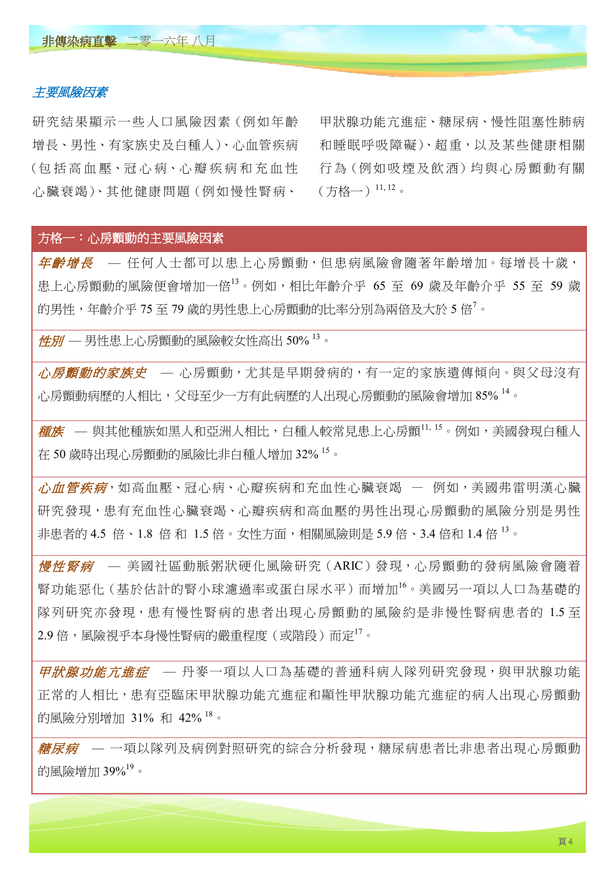#### 主要風險因素

研究結果顯示一些人口風險因素(例如年齡 ( 包 括 高 血 壓、冠 心 病、心 瓣 疾 病 和 充 血 性 增長、男性、有家族史及白種人)、心血管疾病 心 臟 衰 竭)、其 他 健 康 問 題(例 如 慢 性 腎 病、

行為 (例如吸煙及飲酒)均與心房顫動有關 甲狀腺功能亢進症、糖尿病、慢性阻塞性肺病 和睡眠呼吸障礙)、超重,以及某些健康相關  $(f)$ 格一) $11, 12$ 。

#### 方格一:心房顫動的主要風險因素

年齡增長 — 任何人士都可以患上心房顫動,但患病風險會隨著年齡增加。每增長十歲, 患上心房顫動的風險便會增加一倍<sup>13</sup>。例如,相比年齡介乎 65 至 69 歲及年齡介乎 55 至 59 歲 的男性,年齡介乎 75 至 79 歲的男性患上心房顫動的比率分別為兩倍及大於 5 倍'。

性別 — 男性患上心房顫動的風險較女性高出 50% <sup>13</sup>。

*心房顫動的家族史* — 心房顫動,尤其是早期發病的,有一定的家族遺傳傾向。與父母沒有 心房顫動病歷的人相比,父母至少一方有此病歷的人出現心房顫動的風險會增加 85% 14。

 $E   
 在族 — 與其他種族如黑人和亞洲人相比,白種人較常見患上心房顫 $^{\rm l1,\, l5}$ 。例如,美國發現白種人$ 在 50 歲時出現心房顫動的風險比非白種人增加 32% <sup>15</sup>。

*心血管疾病*,如高血壓、冠心病、心瓣疾病和充血性心臟衰竭 — 例如,美國弗雷明漢心臟 研究發現,患有充血性心臟衰竭、心瓣疾病和高血壓的男性出現心房顫動的風險分別是男性 非患者的 4.5 倍、1.8 倍 和 1.5 倍。女性方面,相關風險則是 5.9 倍、3.4 倍和 1.4 倍 13。

*慢性腎病* **—** 美國社區動脈粥狀硬化風險研究 (ARIC) 發現, 心房顫動的發病風險會隨着 腎功能惡化(基於估計的腎小球濾過率或蛋白尿水平)而增加<sup>16</sup>。美國另一項以人口為基礎的 隊列研究亦發現,患有慢性腎病的患者出現心房顫動的風險約是非慢性腎病患者的 1.5 至 2.9 倍,風險視乎本身慢性腎病的嚴重程度(或階段)而定 $^{17}$ 。

*甲狀腺功能亢進症* — 丹麥一項以人口為基礎的普通科病人隊列研究發現,與甲狀腺功能 正常的人相比,患有亞臨床甲狀腺亢進症和顯性甲狀腺功能亢進症的病人出現心房顫動 的風險分別增加 31% 和 42% <sup>18</sup>。

*糖尿病* **—** 一項以隊列及病例對照研究的綜合分析發現,糖尿病患者比非患者出現心房顫動 的風險增加 39%<sup>19</sup>。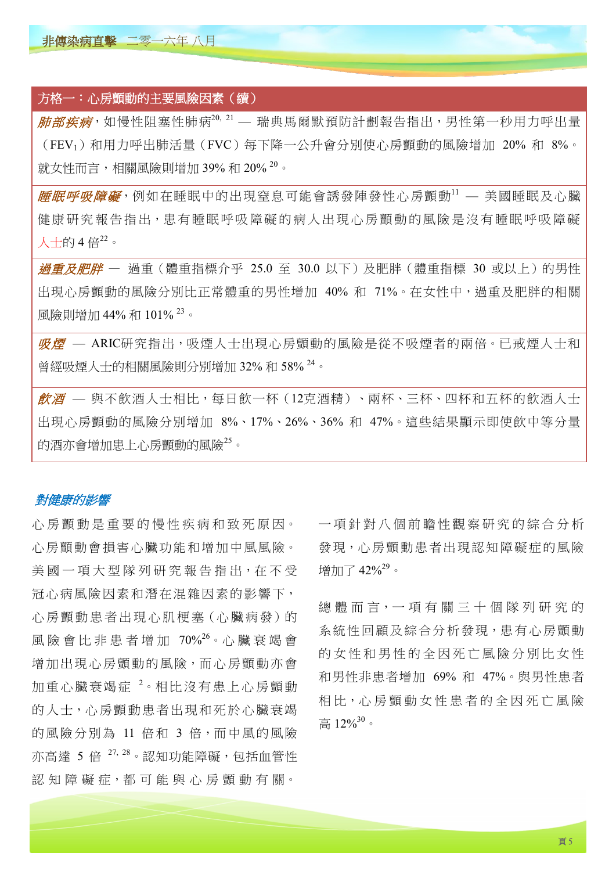非傳染病直擊 二零一六年 八月

# 方格一:心房顫動的主要風險因素(續)  $\overline{\textit{th} \textit{m}}\textit{m}$ ,如慢性阻塞性肺病 $^{20,21}$  — 瑞典馬爾默預防計劃報告指出,男性第一秒用力呼出量 (FEV1)和用力呼出肺活量(FVC)每下降一公升會分別使心房顫動的風險增加 20% 和 8%。 就女性而言,相關風險則增加 39% 和 20% 20。

**歴眠呼吸障礙**,例如在睡眠中的出現窒息可能會誘發陣發性心房顫動11 — 美國睡眠及心臟 健康研究報告指出,患有睡眠呼吸障礙的病人出現心房顫動的風險是沒有睡眠呼吸障礙 人士的 4倍 $22$ 。

*過重及肥胖* — 過重(體重指標介乎 25.0 至 30.0 以下)及肥胖(體重指標 30 或以上)的男性 出現心房顫動的風險分別比正常體重的男性增加 40% 和 71%。在女性中,過重及肥胖的相關 風險則增加 44% 和 101% 23。

*吸煙* — ARIC研究指出,吸煙人士出現心房顫動的風險是從不吸煙者的兩倍。已戒煙人士和 曾經吸煙人士的相關風險則分別增加 32% 和 58% <sup>24</sup>。

*飲酒 —* 與不飲酒人士相比,每日飲一杯(12克酒精)、兩杯、三杯、四杯和五杯的飲酒人士 出現心房顫動的風險分別增加 8%、17%、26%、36% 和 47%。這些結果顯示即使飲中等分量 的酒亦會增加患上心房顫動的風險<sup>25</sup>。

#### 對健康的影響

心房顫動患者出現心肌梗塞 (心臟病發)的 增加出現心房顫動的風險,而心房顫動亦會 心 房 顫 動 是 重 要 的 慢 性 疾 病 和 致 死 原 因。 心房顫動會損害心臟功能和增加中風風險。 美國一項大型隊列研究報告指出, 在不受 冠心病風險因素和潛在混雜因素的影響下, 風險會比非患者增加 70%<sup>26</sup>。心 臟 衰 竭 會 加重心臟衰竭症<sup>2。</sup>相比沒有患上心房顫動 的人士,心房顫動患者出現和死於心臟衰竭 的風險分別為 11 倍和 3 倍,而中風的風險 亦高達 5 倍 27, 28。認知功能障礙,包括血管性 認 知 障 礙 症, 都 可 能 與 心 房 顫 動 有 關。

 一項針對八個前瞻 性觀察研究的綜合分析 發現,心房顫動患者出現認知障礙症的風險 增加了  $42\%^{29}$ 。

 總 體 而 言,一 項 有 關 三 十 個 隊 列 研 究 的 系統性回顧及綜合分析發現,患有心房顫動 的女性和男性的全因死亡風險分別比女性 和男性非患者增加 69% 和 47%。與男性患者 相比,心 房 顫 動 女 性 患 者 的 全 因 死 亡 風 險 高  $12\%^{30}$ 。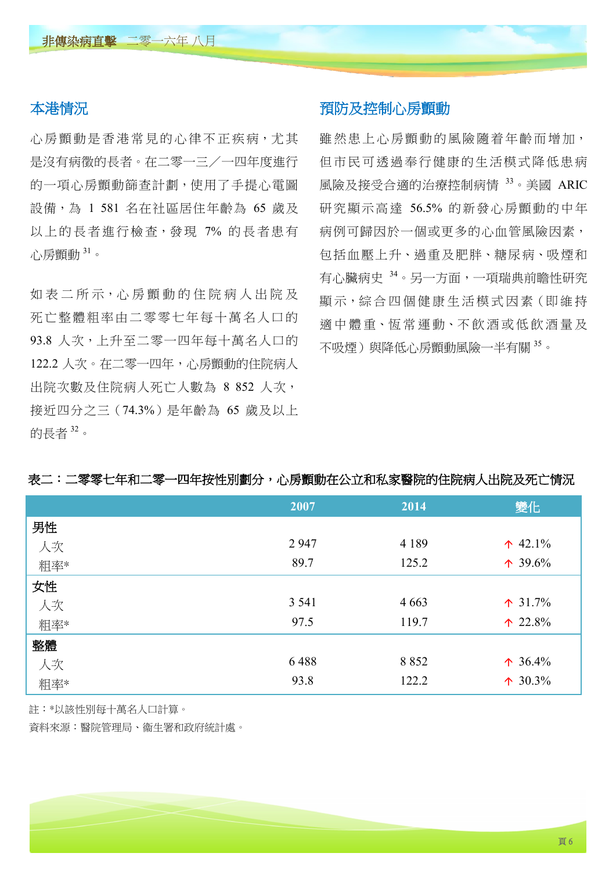#### 本港情況

心房顫動是香港常見的心律不正疾病,尤其 是沒有病徵的長者。在二零一三/一四年度進行 的一項心房顫動篩查計劃,使用了手提心電圖 設備,為 1 581 名在社區居住年齡為 65 歲及 以上的長者進行檢查,發現 7% 的長者患有 心房顫動 $31$ 。

如 表 二 所 示,心 房 顫 動 的 住 院 病 人 出 院 及 死 亡 整 體 粗 率 由 二 零 零 七 年 每 十 萬 名 人 口 的 93.8 人次,上升至二零一四年每十萬名人口的 122.2 人次。在二零一四年,心房顫動的住院病人 出院次數及住院病人死亡人數為 8 852 人次, 接近四分之三(74.3%)是年齡為 65 歲及以上 的長者 <sup>32</sup>。

#### 預防及控制心房顫動

雖然患上心房顫動的風險隨着年齡而增加, 但市民可透過奉行健康的生活模式降低患病 風險及接受合適的治療控制病情 33。美國 ARIC 研究顯示高達 56.5% 的新發心房顫動的中年 病例可歸因於一個或更多的心血管風險因素, 包括血壓上升、過重及肥胖、糖尿病、吸煙和 有心臟病史 <sup>34</sup>。另一方面,一項瑞典前瞻性研究 顯示,綜合四個健康生活模式因素(即維持 適中體重、恆常運動、不飲酒或低飲酒量及 不吸煙)與降低心房顫動風險一半有關 35。

|     | 2007    | 2014    | 變化                |
|-----|---------|---------|-------------------|
| 男性  |         |         |                   |
| 人次  | 2947    | 4 1 8 9 | $\uparrow$ 42.1%  |
| 粗率* | 89.7    | 125.2   | $\uparrow$ 39.6%  |
| 女性  |         |         |                   |
| 人次  | 3 5 4 1 | 4 6 6 3 | $\uparrow$ 31.7%  |
| 粗率* | 97.5    | 119.7   | $\uparrow$ 22.8%  |
| 整體  |         |         |                   |
| 人次  | 6488    | 8 8 5 2 | $\uparrow$ 36.4%  |
| 粗率* | 93.8    | 122.2   | $\uparrow 30.3\%$ |

#### 表二:二零零七年和二零一四年按性別劃分,心房顫動在公立和私家醫院的住院病人出院及死亡情況

註:\*以該性別每十萬名人口計算。

資料來源:醫院管理局、衞生署和政府統計處。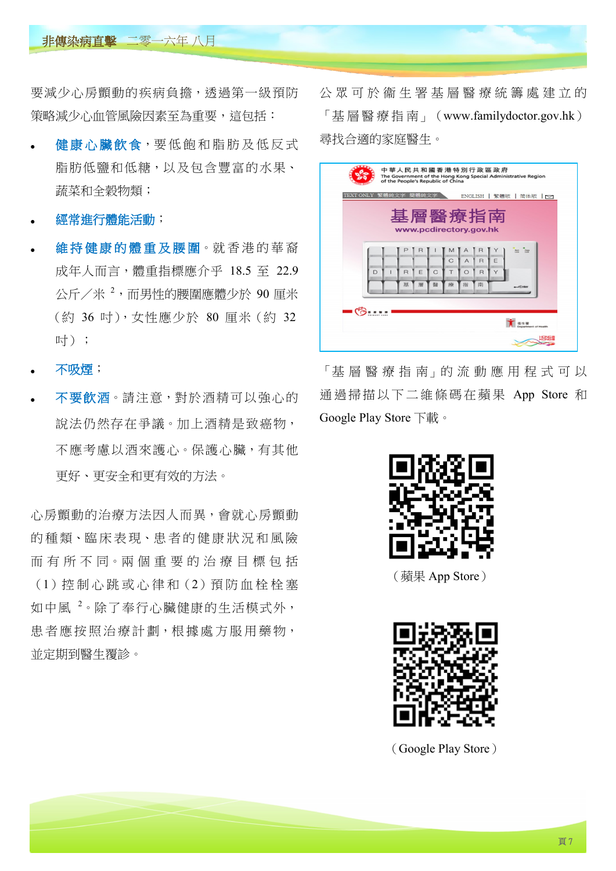#### 非傳染病直擊 二零一六年 八月

要減少心房顫動的疾病負擔,透過第一級預防 策略減少心血管風險因素至為重要,這包括:

- 健康心臟飲食,要低飽和脂肪及低反式 脂肪低鹽和低糖,以及包含豐富的水果、 蔬菜和全穀物類;
- 經常進行體能活動;
- 維持健康的體重及腰圍。就香港的華裔 成年人而言,體重指標應介乎 18.5 至 22.9 公斤/米 <sup>2</sup>,而男性的腰圍應體少於 90 厘米 (約 36 吋),女性應少於 80 厘米(約 32 吋);
- 不吸煙;
- 不要飲酒。請注意,對於酒精可以強心的 說法仍然存在爭議。加上酒精是致癌物, 不應考慮以酒來護心。保護心臟,有其他 更好、更安全和更有效的方法。

心房顫動的治療方法因人而異,會就心房顫動 的種類、臨床表現、患者的健康狀況和風險 而 有 所 不 同。兩 個 重 要 的 治 療 目 標 包 括 (1)控 制 心 跳 或 心 律 和(2)預 防 血 栓 栓 塞 如中風<sup>2</sup>。除了奉行心臟健康的生活模式外, 患者應按照治療計劃,根據處方服用藥物, 並定期到醫生覆診。

公 眾 可 於 衞 生 署 基 層 醫 療 統 籌 處 建 立 的 「基 層 醫 療 指 南」 (<www.familydoctor.gov.hk>) 尋找合適的家庭醫生。

|                                  | 中華人民共和國香港特別行政區政府<br>The Government of the Hong Kong Special Administrative Region<br>of the People's Republic of China |                             |        |        |                |                |   |                           |  |
|----------------------------------|------------------------------------------------------------------------------------------------------------------------|-----------------------------|--------|--------|----------------|----------------|---|---------------------------|--|
|                                  | TEXT ONLY 繁體純文字 簡體純文字<br>ENGLISH   繁體版   简体版   ~                                                                       |                             |        |        |                |                |   |                           |  |
| 基層醫療指南<br>www.pcdirectory.gov.hk |                                                                                                                        |                             |        |        |                |                |   |                           |  |
|                                  |                                                                                                                        | R                           |        | м      |                |                |   | <b>Bez</b><br><b>Caps</b> |  |
|                                  |                                                                                                                        |                             |        | C      | $\overline{A}$ | $\overline{R}$ | E |                           |  |
|                                  | D                                                                                                                      | E<br>$\mathsf{R}$<br>基<br>層 | C<br>醫 | т<br>療 | $\circ$<br>指   | R<br>南         | Y |                           |  |
|                                  |                                                                                                                        |                             |        |        |                |                |   | $-$ Enter                 |  |
|                                  |                                                                                                                        |                             |        |        |                |                |   |                           |  |
| <b>Department of Health</b>      |                                                                                                                        |                             |        |        |                |                |   |                           |  |
|                                  |                                                                                                                        |                             |        |        |                |                |   |                           |  |

「基 層 醫 療 指 南」的 流 動 應 用 程 式 可 以 通過掃描以下二維條碼在蘋果 App Store 和 Google Play Store 下載。



(蘋果 App Store)



(Google Play Store)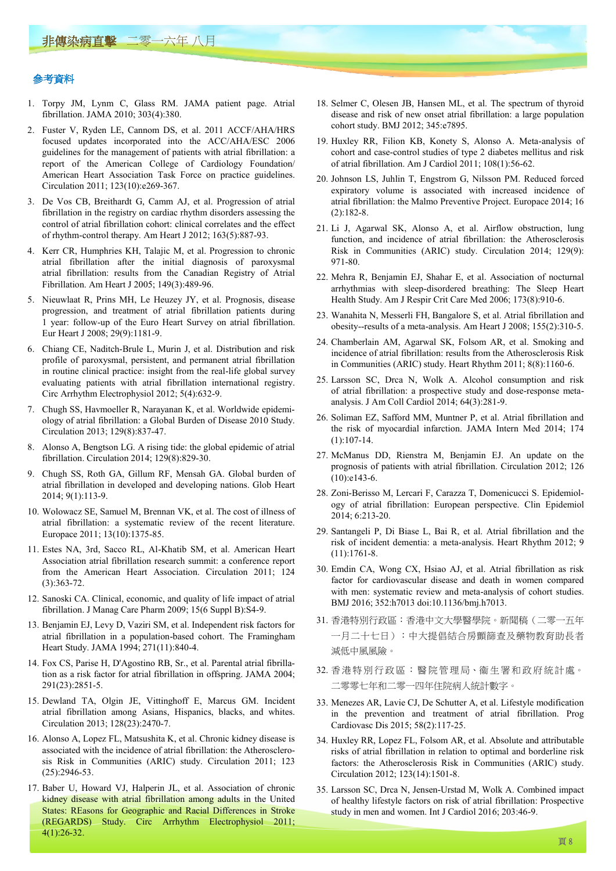#### 參考資料

- 1. Torpy JM, Lynm C, Glass RM. JAMA patient page. Atrial fibrillation. JAMA 2010; 303(4):380.
- 2. Fuster V, Ryden LE, Cannom DS, et al. 2011 ACCF/AHA/HRS focused updates incorporated into the ACC/AHA/ESC 2006 guidelines for the management of patients with atrial fibrillation: a report of the American College of Cardiology Foundation/ American Heart Association Task Force on practice guidelines. Circulation 2011; 123(10):e269-367.
- 3. De Vos CB, Breithardt G, Camm AJ, et al. Progression of atrial fibrillation in the registry on cardiac rhythm disorders assessing the control of atrial fibrillation cohort: clinical correlates and the effect of rhythm-control therapy. Am Heart J 2012; 163(5):887-93.
- 4. Kerr CR, Humphries KH, Talajic M, et al. Progression to chronic atrial fibrillation after the initial diagnosis of paroxysmal atrial fibrillation: results from the Canadian Registry of Atrial Fibrillation. Am Heart J 2005; 149(3):489-96.
- 5. Nieuwlaat R, Prins MH, Le Heuzey JY, et al. Prognosis, disease progression, and treatment of atrial fibrillation patients during 1 year: follow-up of the Euro Heart Survey on atrial fibrillation. Eur Heart J 2008; 29(9):1181-9.
- 6. Chiang CE, Naditch-Brule L, Murin J, et al. Distribution and risk profile of paroxysmal, persistent, and permanent atrial fibrillation in routine clinical practice: insight from the real-life global survey evaluating patients with atrial fibrillation international registry. Circ Arrhythm Electrophysiol 2012; 5(4):632-9.
- 7. Chugh SS, Havmoeller R, Narayanan K, et al. Worldwide epidemiology of atrial fibrillation: a Global Burden of Disease 2010 Study . Circulation 2013; 129(8):837-47.
- 8. Alonso A, Bengtson LG. A rising tide: the global epidemic of atrial fibrillation. Circulation 2014; 129(8):829-30.
- 9. Chugh SS, Roth GA, Gillum RF, Mensah GA. Global burden of atrial fibrillation in developed and developing nations. Glob Heart 2014; 9(1):113-9.
- 10. Wolowacz SE, Samuel M, Brennan VK, et al. The cost of illness of atrial fibrillation: a systematic review of the recent literature. Europace 2011; 13(10):1375-85.
- 11. Estes NA, 3rd, Sacco RL, Al-Khatib SM, et al. American Heart Association atrial fibrillation research summit: a conference report from the American Heart Association. Circulation 2011; 124 (3):363-72.
- 12. Sanoski CA. Clinical, economic, and quality of life impact of atrial fibrillation. J Manag Care Pharm 2009; 15(6 Suppl B):S4-9.
- 13. Benjamin EJ, Levy D, Vaziri SM, et al. Independent risk factors for atrial fibrillation in a population-based cohort. The Framingham Heart Study. JAMA 1994; 271(11):840-4.
- 14. Fox CS, Parise H, D'Agostino RB, Sr., et al. Parental atrial fibrillation as a risk factor for atrial fibrillation in offspring. JAMA 2004; 291(23):2851-5.
- 15. Dewland TA, Olgin JE, Vittinghoff E, Marcus GM. Incident atrial fibrillation among Asians, Hispanics, blacks, and whites. Circulation 2013; 128(23):2470-7.
- 16. Alonso A, Lopez FL, Matsushita K, et al. Chronic kidney disease is associated with the incidence of atrial fibrillation: the Atherosclerosis Risk in Communities (ARIC) study. Circulation 2011; 123 (25):2946-53.
- 17. Baber U, Howard VJ, Halperin JL, et al. Association of chronic kidney disease with atrial fibrillation among adults in the United States: REasons for Geographic and Racial Differences in Stroke (REGARDS) Study. Circ Arrhythm Electrophysiol 2011; 4(1):26-32.
- 18. Selmer C, Olesen JB, Hansen ML, et al. The spectrum of thyroid disease and risk of new onset atrial fibrillation: a large population cohort study. BMJ 2012; 345:e7895.
	- 19. Huxley RR, Filion KB, Konety S, Alonso A. Meta-analysis of cohort and case-control studies of type 2 diabetes mellitus and risk of atrial fibrillation. Am J Cardiol 2011; 108(1):56-62.
	- 20. Johnson LS, Juhlin T, Engstrom G, Nilsson PM. Reduced forced expiratory volume is associated with increased incidence of atrial fibrillation: the Malmo Preventive Project. Europace 2014; 16 (2):182-8.
	- 21. Li J, Agarwal SK, Alonso A, et al. Airflow obstruction, lung function, and incidence of atrial fibrillation: the Atherosclerosis Risk in Communities (ARIC) study. Circulation 2014; 129(9): 971-80.
	- 22. Mehra R, Benjamin EJ, Shahar E, et al. Association of nocturnal arrhythmias with sleep-disordered breathing: The Sleep Heart Health Study. Am J Respir Crit Care Med 2006; 173(8):910-6.
	- 23. Wanahita N, Messerli FH, Bangalore S, et al. Atrial fibrillation and obesity--results of a meta-analysis. Am Heart J 2008; 155(2):310-5.
	- 24. Chamberlain AM, Agarwal SK, Folsom AR, et al. Smoking and incidence of atrial fibrillation: results from the Atherosclerosis Risk in Communities (ARIC) study. Heart Rhythm 2011; 8(8):1160-6.
	- 25. Larsson SC, Drca N, Wolk A. Alcohol consumption and risk of atrial fibrillation: a prospective study and dose-response metaanalysis. J Am Coll Cardiol 2014; 64(3):281-9.
	- 26. Soliman EZ, Safford MM, Muntner P, et al. Atrial fibrillation and the risk of myocardial infarction. JAMA Intern Med 2014; 174  $(1)$  $\cdot$ 107-14
	- 27. McManus DD, Rienstra M, Benjamin EJ. An update on the prognosis of patients with atrial fibrillation. Circulation 2012; 126 (10):e143-6.
	- 28. Zoni-Berisso M, Lercari F, Carazza T, Domenicucci S. Epidemiology of atrial fibrillation: European perspective. Clin Epidemiol 2014; 6:213-20.
	- 29. Santangeli P, Di Biase L, Bai R, et al. Atrial fibrillation and the risk of incident dementia: a meta-analysis. Heart Rhythm 2012; 9 (11):1761-8.
	- 30. Emdin CA, Wong CX, Hsiao AJ, et al. Atrial fibrillation as risk factor for cardiovascular disease and death in women compared with men: systematic review and meta-analysis of cohort studies. BMJ 2016; 352:h7013 doi:10.1136/bmj.h7013.
	- 31. 香港特別行政區:香港中文大學醫學院。新聞稿(二零一五年 一月二十七日):中大提倡結合房顫篩查及藥物教育助長者 減低中風風險。
	- 32. 香港特別行政區:醫院管理局、衞生署和政府統計處。 二零零七年和二零一四年住院病人統計數字。
	- 33. Menezes AR, Lavie CJ, De Schutter A, et al. Lifestyle modification in the prevention and treatment of atrial fibrillation. Prog Cardiovasc Dis 2015; 58(2):117-25.
	- 34. Huxley RR, Lopez FL, Folsom AR, et al. Absolute and attributable risks of atrial fibrillation in relation to optimal and borderline risk factors: the Atherosclerosis Risk in Communities (ARIC) study. Circulation 2012; 123(14):1501-8.
	- 35. Larsson SC, Drca N, Jensen-Urstad M, Wolk A. Combined impact of healthy lifestyle factors on risk of atrial fibrillation: Prospective study in men and women. Int J Cardiol 2016; 203:46-9.